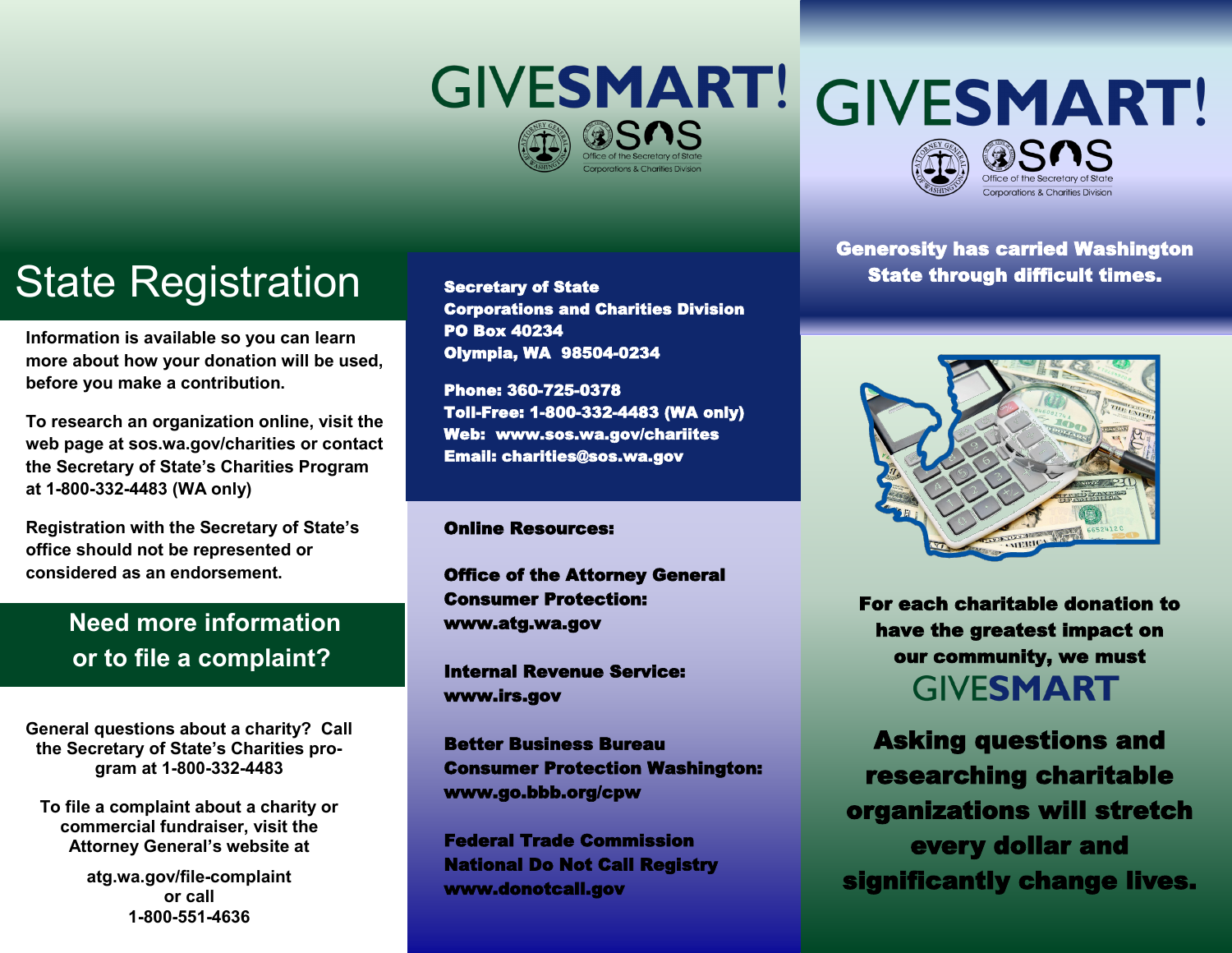# **GIVESMART!**



## State Registration secretary of state **State State through difficult times.**

**Information is available so you can learn more about how your donation will be used, before you make a contribution.** 

**To research an organization online, visit the web page at sos.wa.gov/charities or contact the Secretary of State's Charities Program at 1-800-332-4483 (WA only)**

**Registration with the Secretary of State's office should not be represented or considered as an endorsement.**

### **Need more information or to file a complaint?**

**General questions about a charity? Call the Secretary of State's Charities program at 1-800-332-4483**

**To file a complaint about a charity or commercial fundraiser, visit the Attorney General's website at** 

> **atg.wa.gov/file-complaint or call 1-800-551-4636**

Secretary of State Corporations and Charities Division PO Box 40234 Olympia, WA 98504-0234

Phone: 360-725-0378 Toll-Free: 1-800-332-4483 (WA only) Web: www.sos.wa.gov/chariites Email: charities@sos.wa.gov

#### Online Resources:

Office of the Attorney General Consumer Protection: www.atg.wa.gov

Internal Revenue Service: www.irs.gov

Better Business Bureau Consumer Protection Washington: www.go.bbb.org/cpw

Federal Trade Commission National Do Not Call Registry www.donotcall.gov

Generosity has carried Washington

Corporations & Charities Divisio



For each charitable donation to have the greatest impact on our community, we must **GIVESMART** 

Asking questions and researching charitable organizations will stretch every dollar and significantly change lives.